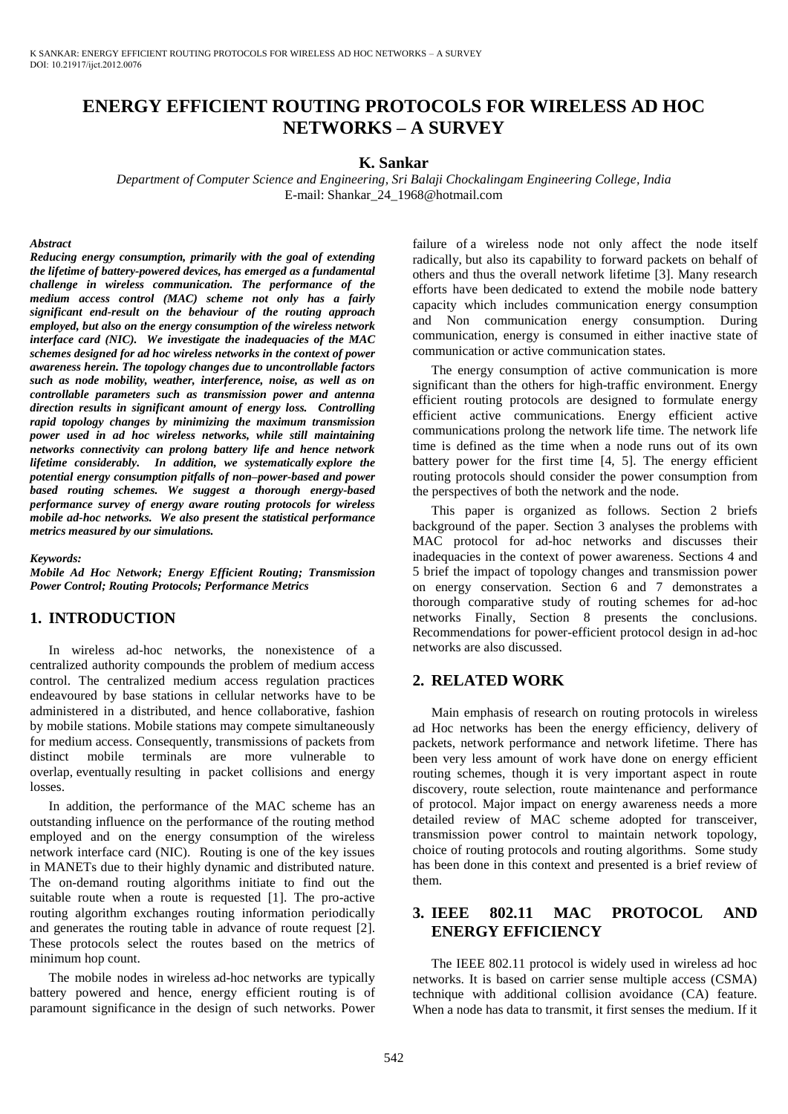# **ENERGY EFFICIENT ROUTING PROTOCOLS FOR WIRELESS AD HOC NETWORKS – A SURVEY**

#### **K. Sankar**

*Department of Computer Science and Engineering, Sri Balaji Chockalingam Engineering College, India*  E-mail: Shankar\_24\_1968@hotmail.com

#### *Abstract*

*Reducing energy consumption, primarily with the goal of extending the lifetime of battery-powered devices, has emerged as a fundamental challenge in wireless communication. The performance of the medium access control (MAC) scheme not only has a fairly significant end-result on the behaviour of the routing approach employed, but also on the energy consumption of the wireless network interface card (NIC). We investigate the inadequacies of the MAC schemes designed for ad hoc wireless networks in the context of power awareness herein. The topology changes due to uncontrollable factors such as node mobility, weather, interference, noise, as well as on controllable parameters such as transmission power and antenna direction results in significant amount of energy loss. Controlling rapid topology changes by minimizing the maximum transmission power used in ad hoc wireless networks, while still maintaining networks connectivity can prolong battery life and hence network lifetime considerably. In addition, we systematically explore the potential energy consumption pitfalls of non–power-based and power based routing schemes. We suggest a thorough energy-based performance survey of energy aware routing protocols for wireless mobile ad-hoc networks. We also present the statistical performance metrics measured by our simulations.* 

#### *Keywords:*

*Mobile Ad Hoc Network; Energy Efficient Routing; Transmission Power Control; Routing Protocols; Performance Metrics* 

### **1. INTRODUCTION**

In wireless ad-hoc networks, the nonexistence of a centralized authority compounds the problem of medium access control. The centralized medium access regulation practices endeavoured by base stations in cellular networks have to be administered in a distributed, and hence collaborative, fashion by mobile stations. Mobile stations may compete simultaneously for medium access. Consequently, transmissions of packets from distinct mobile terminals are more vulnerable to overlap, eventually resulting in packet collisions and energy losses.

In addition, the performance of the MAC scheme has an outstanding influence on the performance of the routing method employed and on the energy consumption of the wireless network interface card (NIC). Routing is one of the key issues in MANETs due to their highly dynamic and distributed nature. The on-demand routing algorithms initiate to find out the suitable route when a route is requested [1]. The pro-active routing algorithm exchanges routing information periodically and generates the routing table in advance of route request [2]. These protocols select the routes based on the metrics of minimum hop count.

The mobile nodes in wireless ad-hoc networks are typically battery powered and hence, energy efficient routing is of paramount significance in the design of such networks. Power failure of a wireless node not only affect the node itself radically, but also its capability to forward packets on behalf of others and thus the overall network lifetime [3]. Many research efforts have been dedicated to extend the mobile node battery capacity which includes communication energy consumption and Non communication energy consumption. During communication, energy is consumed in either inactive state of communication or active communication states.

The energy consumption of active communication is more significant than the others for high-traffic environment. Energy efficient routing protocols are designed to formulate energy efficient active communications. Energy efficient active communications prolong the network life time. The network life time is defined as the time when a node runs out of its own battery power for the first time [4, 5]. The energy efficient routing protocols should consider the power consumption from the perspectives of both the network and the node.

This paper is organized as follows. Section 2 briefs background of the paper. Section 3 analyses the problems with MAC protocol for ad-hoc networks and discusses their inadequacies in the context of power awareness. Sections 4 and 5 brief the impact of topology changes and transmission power on energy conservation. Section 6 and 7 demonstrates a thorough comparative study of routing schemes for ad-hoc networks Finally, Section 8 presents the conclusions. Recommendations for power-efficient protocol design in ad-hoc networks are also discussed.

### **2. RELATED WORK**

Main emphasis of research on routing protocols in wireless ad Hoc networks has been the energy efficiency, delivery of packets, network performance and network lifetime. There has been very less amount of work have done on energy efficient routing schemes, though it is very important aspect in route discovery, route selection, route maintenance and performance of protocol. Major impact on energy awareness needs a more detailed review of MAC scheme adopted for transceiver, transmission power control to maintain network topology, choice of routing protocols and routing algorithms. Some study has been done in this context and presented is a brief review of them.

## **3. IEEE 802.11 MAC PROTOCOL AND ENERGY EFFICIENCY**

The IEEE 802.11 protocol is widely used in wireless ad hoc networks. It is based on carrier sense multiple access (CSMA) technique with additional collision avoidance (CA) feature. When a node has data to transmit, it first senses the medium. If it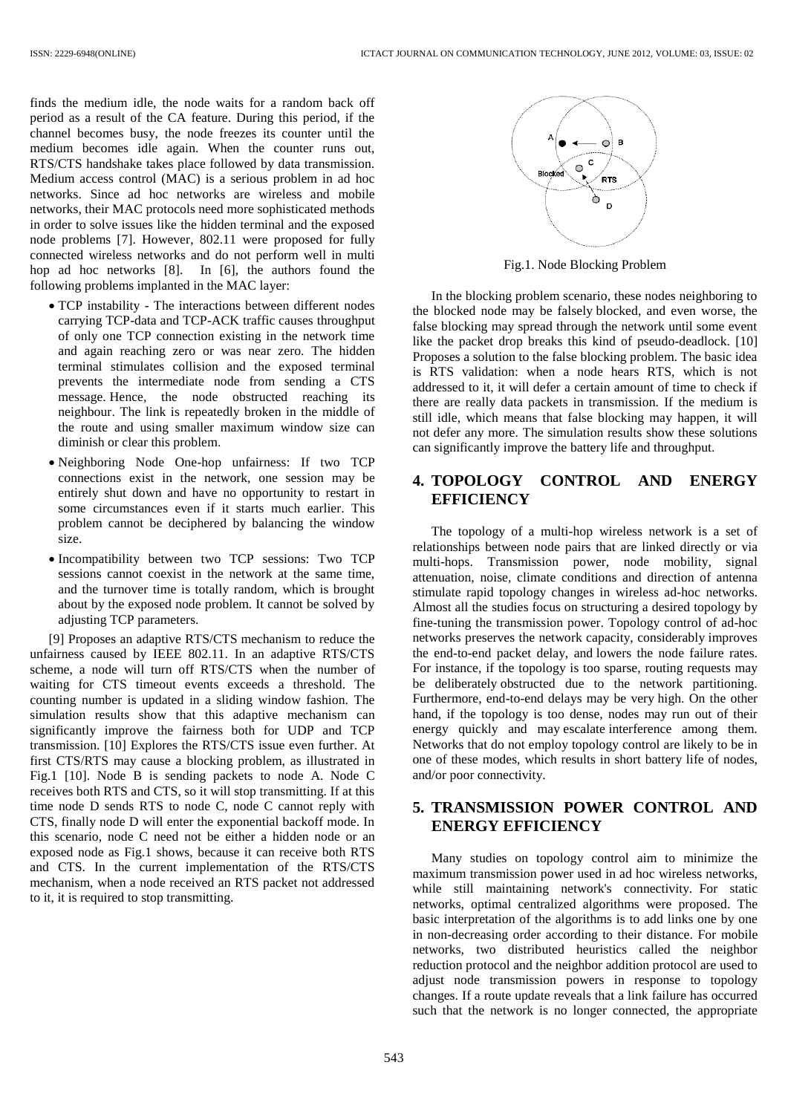finds the medium idle, the node waits for a random back off period as a result of the CA feature. During this period, if the channel becomes busy, the node freezes its counter until the medium becomes idle again. When the counter runs out, RTS/CTS handshake takes place followed by data transmission. Medium access control (MAC) is a serious problem in ad hoc networks. Since ad hoc networks are wireless and mobile networks, their MAC protocols need more sophisticated methods in order to solve issues like the hidden terminal and the exposed node problems [7]. However, 802.11 were proposed for fully connected wireless networks and do not perform well in multi hop ad hoc networks [8]. In [6], the authors found the following problems implanted in the MAC layer:

- TCP instability The interactions between different nodes carrying TCP-data and TCP-ACK traffic causes throughput of only one TCP connection existing in the network time and again reaching zero or was near zero. The hidden terminal stimulates collision and the exposed terminal prevents the intermediate node from sending a CTS message. Hence, the node obstructed reaching its neighbour. The link is repeatedly broken in the middle of the route and using smaller maximum window size can diminish or clear this problem.
- Neighboring Node One-hop unfairness: If two TCP connections exist in the network, one session may be entirely shut down and have no opportunity to restart in some circumstances even if it starts much earlier. This problem cannot be deciphered by balancing the window size.
- Incompatibility between two TCP sessions: Two TCP sessions cannot coexist in the network at the same time, and the turnover time is totally random, which is brought about by the exposed node problem. It cannot be solved by adjusting TCP parameters.

[9] Proposes an adaptive RTS/CTS mechanism to reduce the unfairness caused by IEEE 802.11. In an adaptive RTS/CTS scheme, a node will turn off RTS/CTS when the number of waiting for CTS timeout events exceeds a threshold. The counting number is updated in a sliding window fashion. The simulation results show that this adaptive mechanism can significantly improve the fairness both for UDP and TCP transmission. [10] Explores the RTS/CTS issue even further. At first CTS/RTS may cause a blocking problem, as illustrated in Fig.1 [10]. Node B is sending packets to node A. Node C receives both RTS and CTS, so it will stop transmitting. If at this time node D sends RTS to node C, node C cannot reply with CTS, finally node D will enter the exponential backoff mode. In this scenario, node C need not be either a hidden node or an exposed node as Fig.1 shows, because it can receive both RTS and CTS. In the current implementation of the RTS/CTS mechanism, when a node received an RTS packet not addressed to it, it is required to stop transmitting.



Fig.1. Node Blocking Problem

In the blocking problem scenario, these nodes neighboring to the blocked node may be falsely blocked, and even worse, the false blocking may spread through the network until some event like the packet drop breaks this kind of pseudo-deadlock. [10] Proposes a solution to the false blocking problem. The basic idea is RTS validation: when a node hears RTS, which is not addressed to it, it will defer a certain amount of time to check if there are really data packets in transmission. If the medium is still idle, which means that false blocking may happen, it will not defer any more. The simulation results show these solutions can significantly improve the battery life and throughput.

### **4. TOPOLOGY CONTROL AND ENERGY EFFICIENCY**

The topology of a multi-hop wireless network is a set of relationships between node pairs that are linked directly or via multi-hops. Transmission power, node mobility, signal attenuation, noise, climate conditions and direction of antenna stimulate rapid topology changes in wireless ad-hoc networks. Almost all the studies focus on structuring a desired topology by fine-tuning the transmission power. Topology control of ad-hoc networks preserves the network capacity, considerably improves the end-to-end packet delay, and lowers the node failure rates. For instance, if the topology is too sparse, routing requests may be deliberately obstructed due to the network partitioning. Furthermore, end-to-end delays may be very high. On the other hand, if the topology is too dense, nodes may run out of their energy quickly and may escalate interference among them. Networks that do not employ topology control are likely to be in one of these modes, which results in short battery life of nodes, and/or poor connectivity.

## **5. TRANSMISSION POWER CONTROL AND ENERGY EFFICIENCY**

Many studies on topology control aim to minimize the maximum transmission power used in ad hoc wireless networks, while still maintaining network's connectivity. For static networks, optimal centralized algorithms were proposed. The basic interpretation of the algorithms is to add links one by one in non-decreasing order according to their distance. For mobile networks, two distributed heuristics called the neighbor reduction protocol and the neighbor addition protocol are used to adjust node transmission powers in response to topology changes. If a route update reveals that a link failure has occurred such that the network is no longer connected, the appropriate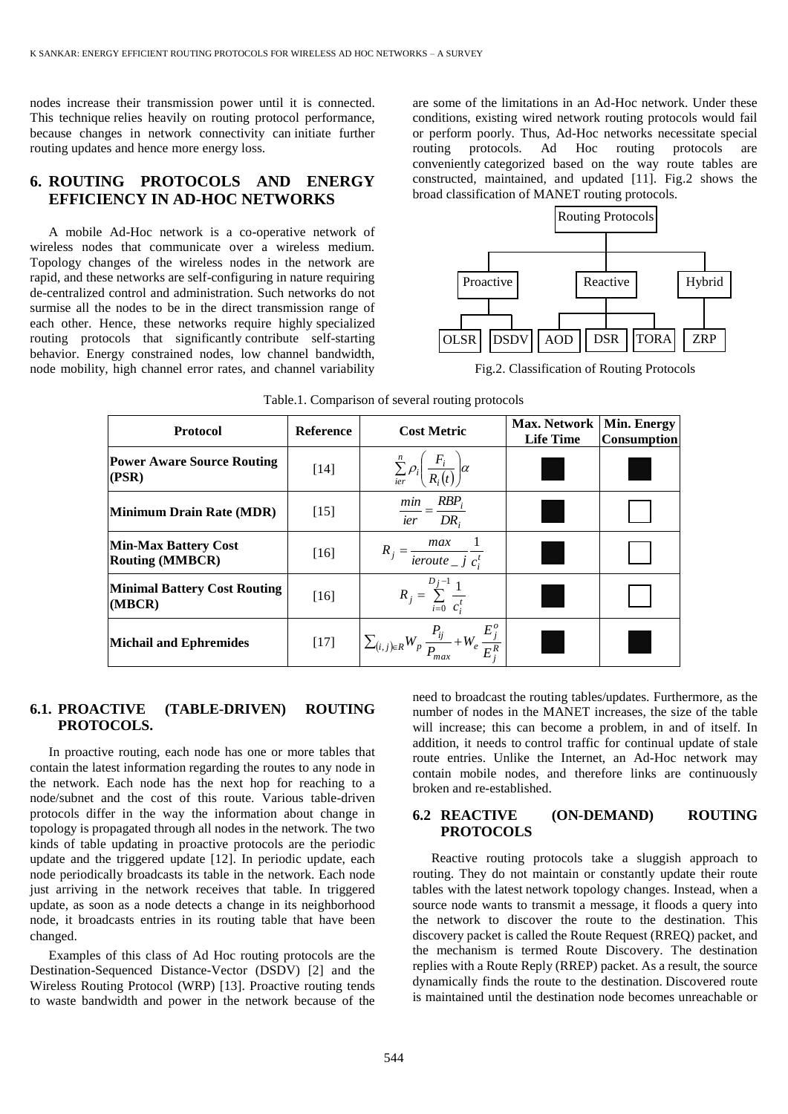nodes increase their transmission power until it is connected. This technique relies heavily on routing protocol performance, because changes in network connectivity can initiate further routing updates and hence more energy loss.

## **6. ROUTING PROTOCOLS AND ENERGY EFFICIENCY IN AD-HOC NETWORKS**

A mobile Ad-Hoc network is a co-operative network of wireless nodes that communicate over a wireless medium. Topology changes of the wireless nodes in the network are rapid, and these networks are self-configuring in nature requiring de-centralized control and administration. Such networks do not surmise all the nodes to be in the direct transmission range of each other. Hence, these networks require highly specialized routing protocols that significantly contribute self-starting behavior. Energy constrained nodes, low channel bandwidth, node mobility, high channel error rates, and channel variability are some of the limitations in an Ad-Hoc network. Under these conditions, existing wired network routing protocols would fail or perform poorly. Thus, Ad-Hoc networks necessitate special routing protocols. Ad Hoc routing protocols are conveniently categorized based on the way route tables are constructed, maintained, and updated [11]. Fig.2 shows the broad classification of MANET routing protocols.



Fig.2. Classification of Routing Protocols

| <b>Protocol</b>                                       | <b>Reference</b> | Max. Network<br><b>Cost Metric</b><br><b>Life Time</b>                                       |                        | Min. Energy<br><b>Consumption</b> |
|-------------------------------------------------------|------------------|----------------------------------------------------------------------------------------------|------------------------|-----------------------------------|
| <b>Power Aware Source Routing</b><br>(PSR)            | $[14]$           | $\sum_{i\epsilon r}^{n} \rho_i \bigg( \frac{F_i}{R_i(t)} \bigg) \alpha$                      |                        |                                   |
| <b>Minimum Drain Rate (MDR)</b>                       | $[15]$           | $\frac{min}{ier} = \frac{RBP_i}{DR_i}$                                                       |                        |                                   |
| <b>Min-Max Battery Cost</b><br><b>Routing (MMBCR)</b> | $[16]$           | $R_j = \frac{max}{\text{icroute}_j} \frac{1}{c_i^t}$                                         |                        |                                   |
| <b>Minimal Battery Cost Routing</b><br>(MBCR)         | $[16]$           | $R_j = \sum_{i=0}^{D_j-1} \frac{1}{c_i^t}$                                                   |                        |                                   |
| <b>Michail and Ephremides</b>                         | $[17]$           | $\left  \sum_{(i,j) \in R} W_p \frac{P_{ij}}{P_{max}} + W_e \frac{E_j^{\nu}}{E_i^R} \right $ | <b>Service Service</b> |                                   |

| Table.1. Comparison of several routing protocols |  |  |
|--------------------------------------------------|--|--|
|                                                  |  |  |

### **6.1. PROACTIVE (TABLE-DRIVEN) ROUTING PROTOCOLS.**

In proactive routing, each node has one or more tables that contain the latest information regarding the routes to any node in the network. Each node has the next hop for reaching to a node/subnet and the cost of this route. Various table-driven protocols differ in the way the information about change in topology is propagated through all nodes in the network. The two kinds of table updating in proactive protocols are the periodic update and the triggered update [12]. In periodic update, each node periodically broadcasts its table in the network. Each node just arriving in the network receives that table. In triggered update, as soon as a node detects a change in its neighborhood node, it broadcasts entries in its routing table that have been changed.

Examples of this class of Ad Hoc routing protocols are the Destination-Sequenced Distance-Vector (DSDV) [2] and the Wireless Routing Protocol (WRP) [13]. Proactive routing tends to waste bandwidth and power in the network because of the need to broadcast the routing tables/updates. Furthermore, as the number of nodes in the MANET increases, the size of the table will increase; this can become a problem, in and of itself. In addition, it needs to control traffic for continual update of stale route entries. Unlike the Internet, an Ad-Hoc network may contain mobile nodes, and therefore links are continuously broken and re-established.

#### **6.2 REACTIVE (ON-DEMAND) ROUTING PROTOCOLS**

Reactive routing protocols take a sluggish approach to routing. They do not maintain or constantly update their route tables with the latest network topology changes. Instead, when a source node wants to transmit a message, it floods a query into the network to discover the route to the destination. This discovery packet is called the Route Request (RREQ) packet, and the mechanism is termed Route Discovery. The destination replies with a Route Reply (RREP) packet. As a result, the source dynamically finds the route to the destination. Discovered route is maintained until the destination node becomes unreachable or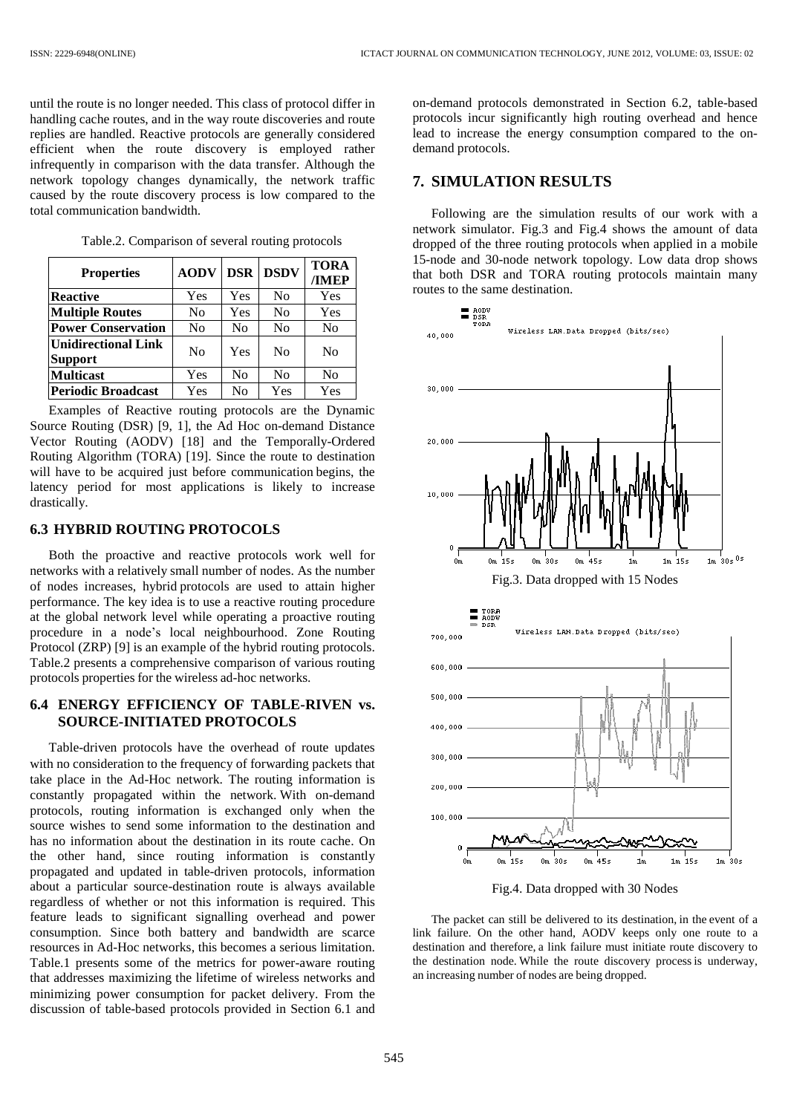until the route is no longer needed. This class of protocol differ in handling cache routes, and in the way route discoveries and route replies are handled. Reactive protocols are generally considered efficient when the route discovery is employed rather infrequently in comparison with the data transfer. Although the network topology changes dynamically, the network traffic caused by the route discovery process is low compared to the total communication bandwidth.

| <b>Properties</b>                            | <b>AODV</b>    |                | <b>DSR DSDV</b> | <b>TORA</b><br>/IMEP |
|----------------------------------------------|----------------|----------------|-----------------|----------------------|
| <b>Reactive</b>                              | Yes            | Yes            | N <sub>0</sub>  | Yes                  |
| <b>Multiple Routes</b>                       | No             | Yes            | N <sub>o</sub>  | Yes                  |
| <b>Power Conservation</b>                    | N <sub>0</sub> | N <sub>0</sub> | N <sub>0</sub>  | N <sub>0</sub>       |
| <b>Unidirectional Link</b><br><b>Support</b> | No             | Yes            | No              | N <sub>0</sub>       |
| <b>Multicast</b>                             | Yes            | No             | N <sub>0</sub>  | N <sub>0</sub>       |
| <b>Periodic Broadcast</b>                    | Yes            | No             | Yes             | Yes                  |

Table.2. Comparison of several routing protocols

Examples of Reactive routing protocols are the Dynamic Source Routing (DSR) [9, 1], the Ad Hoc on-demand Distance Vector Routing (AODV) [18] and the Temporally-Ordered Routing Algorithm (TORA) [19]. Since the route to destination will have to be acquired just before communication begins, the latency period for most applications is likely to increase drastically.

### **6.3 HYBRID ROUTING PROTOCOLS**

Both the proactive and reactive protocols work well for networks with a relatively small number of nodes. As the number of nodes increases, hybrid protocols are used to attain higher performance. The key idea is to use a reactive routing procedure at the global network level while operating a proactive routing procedure in a node's local neighbourhood. Zone Routing Protocol (ZRP) [9] is an example of the hybrid routing protocols. Table.2 presents a comprehensive comparison of various routing protocols properties for the wireless ad-hoc networks.

### **6.4 ENERGY EFFICIENCY OF TABLE-RIVEN vs. SOURCE-INITIATED PROTOCOLS**

Table-driven protocols have the overhead of route updates with no consideration to the frequency of forwarding packets that take place in the Ad-Hoc network. The routing information is constantly propagated within the network. With on-demand protocols, routing information is exchanged only when the source wishes to send some information to the destination and has no information about the destination in its route cache. On the other hand, since routing information is constantly propagated and updated in table-driven protocols, information about a particular source-destination route is always available regardless of whether or not this information is required. This feature leads to significant signalling overhead and power consumption. Since both battery and bandwidth are scarce resources in Ad-Hoc networks, this becomes a serious limitation. Table.1 presents some of the metrics for power-aware routing that addresses maximizing the lifetime of wireless networks and minimizing power consumption for packet delivery. From the discussion of table-based protocols provided in Section 6.1 and on-demand protocols demonstrated in Section 6.2, table-based protocols incur significantly high routing overhead and hence lead to increase the energy consumption compared to the ondemand protocols.

### **7. SIMULATION RESULTS**

Following are the simulation results of our work with a network simulator. Fig.3 and Fig.4 shows the amount of data dropped of the three routing protocols when applied in a mobile 15-node and 30-node network topology. Low data drop shows that both DSR and TORA routing protocols maintain many routes to the same destination.



Fig.4. Data dropped with 30 Nodes

The packet can still be delivered to its destination, in the event of a link failure. On the other hand, AODV keeps only one route to a destination and therefore, a link failure must initiate route discovery to the destination node. While the route discovery process is underway, an increasing number of nodes are being dropped.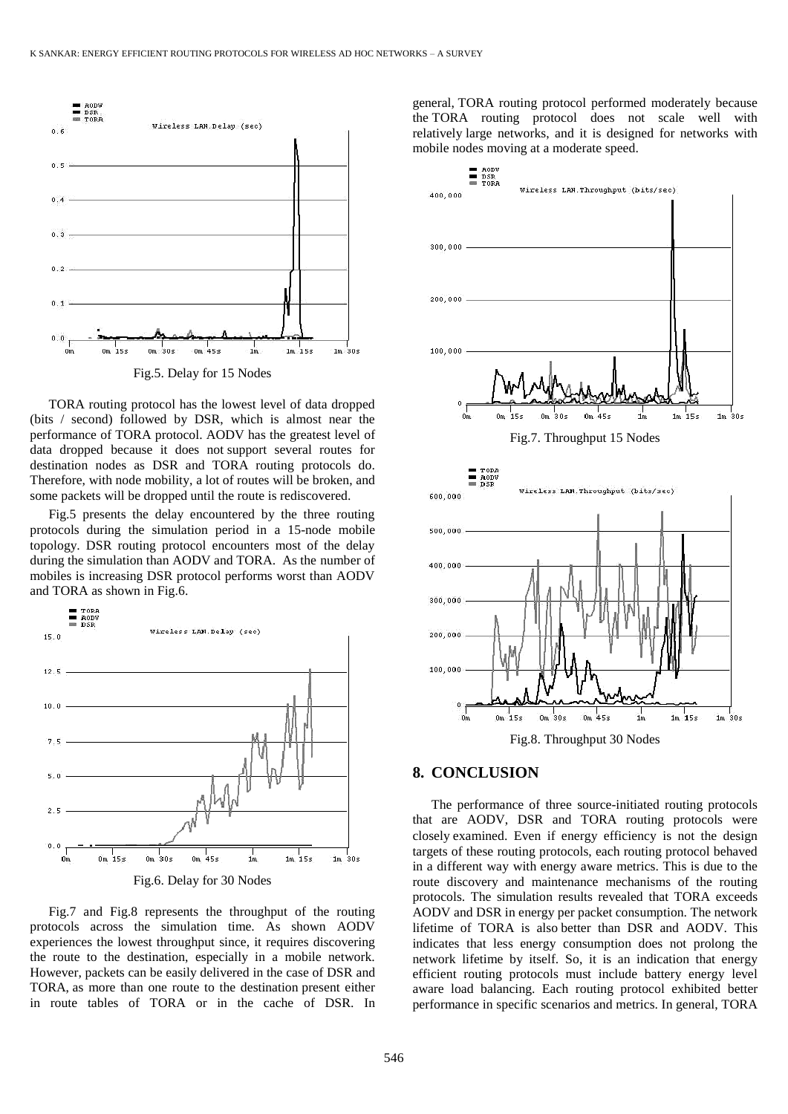

TORA routing protocol has the lowest level of data dropped (bits / second) followed by DSR, which is almost near the performance of TORA protocol. AODV has the greatest level of data dropped because it does not support several routes for destination nodes as DSR and TORA routing protocols do. Therefore, with node mobility, a lot of routes will be broken, and some packets will be dropped until the route is rediscovered.

Fig.5 presents the delay encountered by the three routing protocols during the simulation period in a 15-node mobile topology. DSR routing protocol encounters most of the delay during the simulation than AODV and TORA. As the number of mobiles is increasing DSR protocol performs worst than AODV and TORA as shown in Fig.6.



Fig.7 and Fig.8 represents the throughput of the routing protocols across the simulation time. As shown AODV experiences the lowest throughput since, it requires discovering the route to the destination, especially in a mobile network. However, packets can be easily delivered in the case of DSR and TORA, as more than one route to the destination present either in route tables of TORA or in the cache of DSR. In general, TORA routing protocol performed moderately because the TORA routing protocol does not scale well with relatively large networks, and it is designed for networks with mobile nodes moving at a moderate speed.



### **8. CONCLUSION**

The performance of three source-initiated routing protocols that are AODV, DSR and TORA routing protocols were closely examined. Even if energy efficiency is not the design targets of these routing protocols, each routing protocol behaved in a different way with energy aware metrics. This is due to the route discovery and maintenance mechanisms of the routing protocols. The simulation results revealed that TORA exceeds AODV and DSR in energy per packet consumption. The network lifetime of TORA is also better than DSR and AODV. This indicates that less energy consumption does not prolong the network lifetime by itself. So, it is an indication that energy efficient routing protocols must include battery energy level aware load balancing. Each routing protocol exhibited better performance in specific scenarios and metrics. In general, TORA